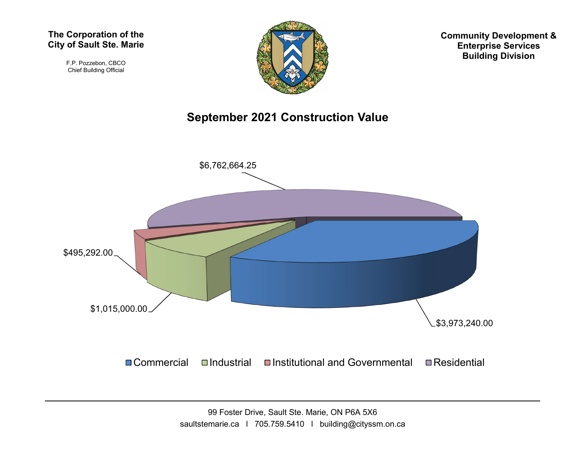F.P. Pozzebon, CBCO Chief Building Official



Community Development & Enterprise Services Building Division

## September 2021 Construction Value

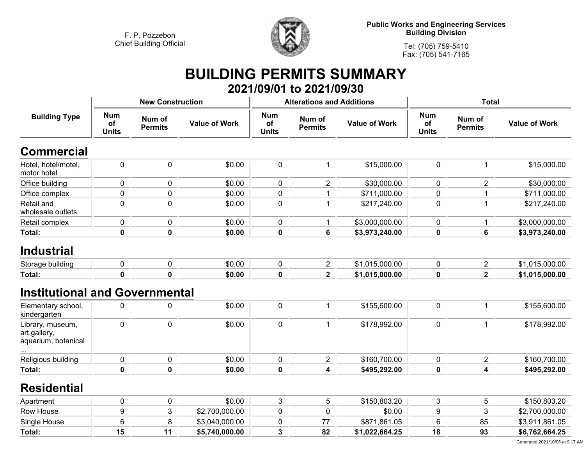

**Public Works and Engineering Services Building Division**

**Tel: (705) 759-5410 Fax: (705) 541-7165**

## **BUILDING PERMITS SUMMARY 2021/09/01 to 2021/09/30**

|                                                         |                                  | <b>New Construction</b>  |                      |                                  | <b>Alterations and Additions</b> |                      | <b>Total</b>                     |                          |                      |
|---------------------------------------------------------|----------------------------------|--------------------------|----------------------|----------------------------------|----------------------------------|----------------------|----------------------------------|--------------------------|----------------------|
| <b>Building Type</b>                                    | <b>Num</b><br>οf<br><b>Units</b> | Num of<br><b>Permits</b> | <b>Value of Work</b> | <b>Num</b><br>of<br><b>Units</b> | Num of<br><b>Permits</b>         | <b>Value of Work</b> | <b>Num</b><br>of<br><b>Units</b> | Num of<br><b>Permits</b> | <b>Value of Work</b> |
| <b>Commercial</b>                                       |                                  |                          |                      |                                  |                                  |                      |                                  |                          |                      |
| Hotel, hotel/motel,<br>motor hotel                      | 0                                | 0                        | \$0.00               | $\mathbf 0$                      | 1                                | \$15,000.00          | $\pmb{0}$                        | $\mathbf{1}$             | \$15,000.00          |
| Office building                                         | $\mathbf 0$                      | 0                        | \$0.00               | $\mathbf 0$                      | $\overline{2}$                   | \$30,000.00          | $\mathbf 0$                      | $\overline{2}$           | \$30,000.00          |
| Office complex                                          | 0                                | $\pmb{0}$                | \$0.00               | $\pmb{0}$                        |                                  | \$711,000.00         | 0                                | 1                        | \$711,000.00         |
| Retail and<br>wholesale outlets                         | 0                                | $\pmb{0}$                | \$0.00               | $\pmb{0}$                        |                                  | \$217,240.00         | $\pmb{0}$                        | $\mathbf{1}$             | \$217,240.00         |
| Retail complex                                          | 0                                | 0                        | \$0.00               | $\mathbf 0$                      | 1                                | \$3,000,000.00       | 0                                | 1                        | \$3,000,000.00       |
| Total:                                                  | $\mathbf 0$                      | $\pmb{0}$                | \$0.00               | 0                                | 6                                | \$3,973,240.00       | 0                                | 6                        | \$3,973,240.00       |
| <b>Industrial</b>                                       |                                  |                          |                      |                                  |                                  |                      |                                  |                          |                      |
| Storage building                                        | 0                                | $\pmb{0}$                | \$0.00               | $\pmb{0}$                        | $\overline{c}$                   | \$1,015,000.00       | $\pmb{0}$                        | $\overline{2}$           | \$1,015,000.00       |
| Total:                                                  | 0                                | 0                        | \$0.00               | 0                                | $\overline{\mathbf{2}}$          | \$1,015,000.00       | 0                                | $\overline{\mathbf{2}}$  | \$1,015,000.00       |
| <b>Institutional and Governmental</b>                   |                                  |                          |                      |                                  |                                  |                      |                                  |                          |                      |
| Elementary school,<br>kindergarten                      | 0                                | $\pmb{0}$                | \$0.00               | $\pmb{0}$                        | 1                                | \$155,600.00         | $\pmb{0}$                        | $\mathbf{1}$             | \$155,600.00         |
| Library, museum,<br>art gallery,<br>aquarium, botanical | $\mathbf 0$                      | 0                        | \$0.00               | $\pmb{0}$                        | $\mathbf{1}$                     | \$178,992.00         | $\pmb{0}$                        | $\mathbf{1}$             | \$178,992.00         |
| Religious building                                      | 0                                | 0                        | \$0.00               | $\mathbf 0$                      | $\overline{2}$                   | \$160,700.00         | 0                                | $\overline{2}$           | \$160,700.00         |
| Total:                                                  | 0                                | $\pmb{0}$                | \$0.00               | $\pmb{0}$                        | 4                                | \$495,292.00         | 0                                | 4                        | \$495,292.00         |
| <b>Residential</b>                                      |                                  |                          |                      |                                  |                                  |                      |                                  |                          |                      |
| Apartment                                               | 0                                | 0                        | \$0.00               | $\mathfrak{S}$                   | 5                                | \$150,803.20         | 3                                | 5                        | \$150,803.20         |
| Row House                                               | 9                                | 3                        | \$2,700,000.00       | $\pmb{0}$                        | 0                                | \$0.00               | 9                                | 3                        | \$2,700,000.00       |
| Single House                                            | 6                                | 8                        | \$3,040,000.00       | 0                                | 77                               | \$871,861.05         | 6                                | 85                       | \$3,911,861.05       |
| Total:                                                  | 15                               | 11                       | \$5,740,000.00       | 3                                | 82                               | \$1,022,664.25       | 18                               | 93                       | \$6,762,664.25       |
|                                                         |                                  |                          |                      |                                  |                                  |                      |                                  |                          |                      |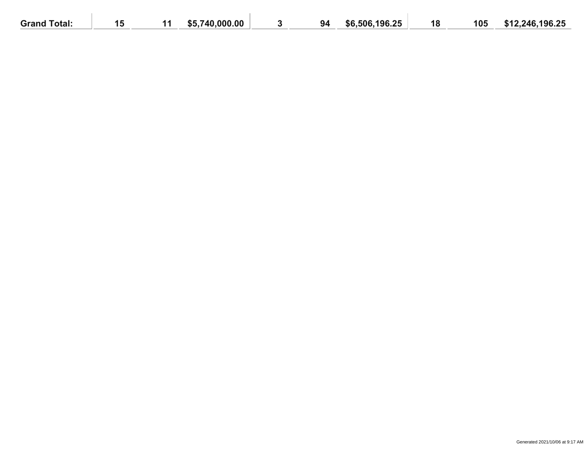| <b>Grand Total:</b> | <b>TIP</b><br>1 V | 740.000.00<br>\$5 | 94 | \$6,506,196.25 | 18 | 105 | \$12,246,196.25 |
|---------------------|-------------------|-------------------|----|----------------|----|-----|-----------------|
|                     |                   |                   |    |                |    |     |                 |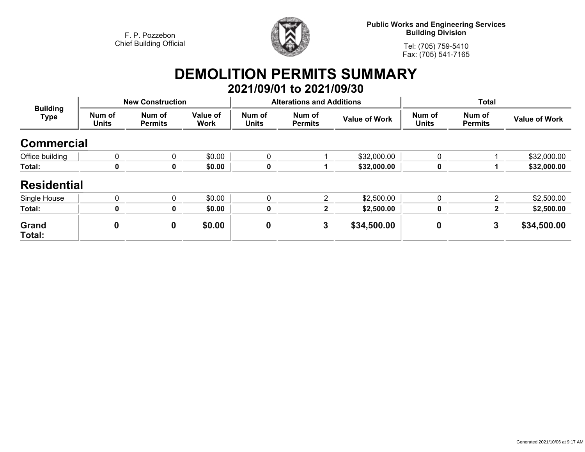

**Public Works and Engineering Services Building Division**

**Tel: (705) 759-5410Fax: (705) 541-7165**

## **DEMOLITION PERMITS SUMMARY 2021/09/01 to 2021/09/30**

| <b>Building</b><br><b>Type</b> |                        | <b>New Construction</b>  |                         |                        | <b>Alterations and Additions</b> |                      | <b>Total</b>           |                          |                      |
|--------------------------------|------------------------|--------------------------|-------------------------|------------------------|----------------------------------|----------------------|------------------------|--------------------------|----------------------|
|                                | Num of<br><b>Units</b> | Num of<br><b>Permits</b> | Value of<br><b>Work</b> | Num of<br><b>Units</b> | Num of<br><b>Permits</b>         | <b>Value of Work</b> | Num of<br><b>Units</b> | Num of<br><b>Permits</b> | <b>Value of Work</b> |
| <b>Commercial</b>              |                        |                          |                         |                        |                                  |                      |                        |                          |                      |
| Office building                | 0                      | $\mathbf{0}$             | \$0.00                  | $\mathbf{0}$           |                                  | \$32,000.00          | $\mathbf{0}$           |                          | \$32,000.00          |
| Total:                         | 0                      | 0                        | \$0.00                  | 0                      |                                  | \$32,000.00          | 0                      |                          | \$32,000.00          |
| <b>Residential</b>             |                        |                          |                         |                        |                                  |                      |                        |                          |                      |
| Single House                   | $\mathbf{0}$           | $\Omega$                 | \$0.00                  | $\mathbf{0}$           | 2                                | \$2,500.00           | $\mathbf{0}$           | 2                        | \$2,500.00           |
| Total:                         | $\mathbf 0$            | 0                        | \$0.00                  | 0                      | 2                                | \$2,500.00           | 0                      | $\mathbf{2}$             | \$2,500.00           |
| Grand<br>Total:                | 0                      | $\mathbf 0$              | \$0.00                  | $\boldsymbol{0}$       | 3                                | \$34,500.00          | 0                      | 3                        | \$34,500.00          |